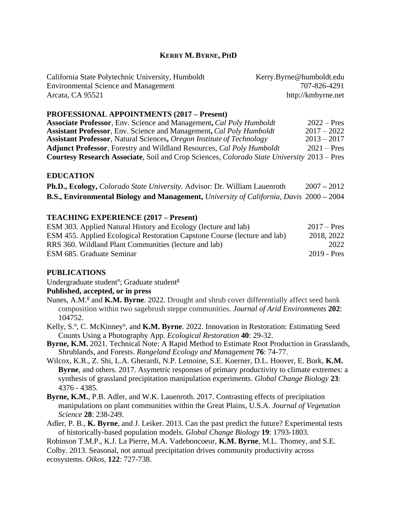# **KERRY M. BYRNE, PHD**

| California State Polytechnic University, Humboldt | Kerry.Byrne@humboldt.edu |
|---------------------------------------------------|--------------------------|
| <b>Environmental Science and Management</b>       | 707-826-4291             |
| Arcata, CA 95521                                  | http://kmbyrne.net       |

#### **PROFESSIONAL APPOINTMENTS (2017 – Present)**

| <b>Associate Professor</b> , Env. Science and Management, Cal Poly Humboldt                | $2022 - Pres$ |
|--------------------------------------------------------------------------------------------|---------------|
| <b>Assistant Professor, Env. Science and Management, Cal Poly Humboldt</b>                 | $2017 - 2022$ |
| <b>Assistant Professor, Natural Sciences, Oregon Institute of Technology</b>               | $2013 - 2017$ |
| <b>Adjunct Professor</b> , Forestry and Wildland Resources, Cal Poly Humboldt              | $2021 - Pres$ |
| Courtesy Research Associate, Soil and Crop Sciences, Colorado State University 2013 – Pres |               |

#### **EDUCATION**

| <b>Ph.D., Ecology, Colorado State University. Advisor: Dr. William Lauenroth</b>               | $2007 - 2012$ |  |
|------------------------------------------------------------------------------------------------|---------------|--|
| <b>B.S., Environmental Biology and Management,</b> University of California, Davis 2000 – 2004 |               |  |

#### **TEACHING EXPERIENCE (2017 – Present)**

| ESM 303. Applied Natural History and Ecology (lecture and lab)                   | $2017 - Pres$ |
|----------------------------------------------------------------------------------|---------------|
| <b>ESM 455.</b> Applied Ecological Restoration Capstone Course (lecture and lab) | 2018, 2022    |
| RRS 360. Wildland Plant Communities (lecture and lab)                            | 2022          |
| ESM 685. Graduate Seminar                                                        | $2019 - Pres$ |

#### **PUBLICATIONS**

Undergraduate student<sup>u</sup>; Graduate student<sup>g</sup>

#### **Published, accepted, or in press**

- Nunes, A.M.<sup>g</sup> and **K.M. Byrne**. 2022. Drought and shrub cover differentially affect seed bank composition within two sagebrush steppe communities. *Journal of Arid Environments* **202**: 104752.
- Kelly, S.<sup>u</sup>, C. McKinney<sup>u</sup>, and **K.M. Byrne**. 2022. Innovation in Restoration: Estimating Seed Counts Using a Photography App. *Ecological Restoration* **40**: 29-32.
- **Byrne, K.M.** 2021. Technical Note: A Rapid Method to Estimate Root Production in Grasslands, Shrublands, and Forests. *Rangeland Ecology and Management* **76**: 74-77.
- Wilcox, K.R., Z. Shi, L.A. Gherardi, N.P. Lemoine, S.E. Koerner, D.L. Hoover, E. Bork, **K.M. Byrne**, and others. 2017. Asymetric responses of primary productivity to climate extremes: a synthesis of grassland precipitation manipulation experiments. *Global Change Biology* **23**: 4376 - 4385.
- **Byrne, K.M.**, P.B. Adler, and W.K. Lauenroth. 2017. Contrasting effects of precipitation manipulations on plant communities within the Great Plains, U.S.A. *Journal of Vegetation Science* **28**: 238-249.
- Adler, P. B., **K. Byrne**, and J. Leiker. 2013. Can the past predict the future? Experimental tests of historically-based population models. *Global Change Biology* **19**: 1793-1803.

Robinson T.M.P., K.J. La Pierre, M.A. Vadeboncoeur, **K.M. Byrne**, M.L. Thomey, and S.E.

Colby. 2013. Seasonal, not annual precipitation drives community productivity across ecosystems. *Oikos,* **122**: 727-738.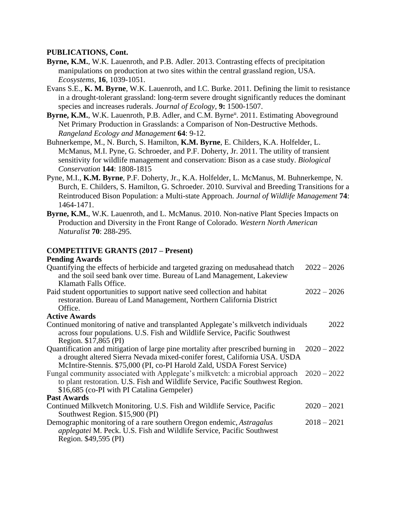# **PUBLICATIONS, Cont.**

- **Byrne, K.M.**, W.K. Lauenroth, and P.B. Adler. 2013. Contrasting effects of precipitation manipulations on production at two sites within the central grassland region, USA. *Ecosystems,* **16**, 1039-1051.
- Evans S.E., **K. M. Byrne**, W.K. Lauenroth, and I.C. Burke. 2011. Defining the limit to resistance in a drought-tolerant grassland: long-term severe drought significantly reduces the dominant species and increases ruderals. *Journal of Ecology,* **9:** 1500-1507.
- Byrne, K.M., W.K. Lauenroth, P.B. Adler, and C.M. Byrne<sup>u</sup>. 2011. Estimating Aboveground Net Primary Production in Grasslands: a Comparison of Non-Destructive Methods. *Rangeland Ecology and Management* **64**: 9-12.

Buhnerkempe, M., N. Burch, S. Hamilton, **K.M. Byrne**, E. Childers, K.A. Holfelder, L. McManus, M.I. Pyne, G. Schroeder, and P.F. Doherty, Jr. 2011. The utility of transient sensitivity for wildlife management and conservation: Bison as a case study. *Biological Conservation* **144**: 1808-1815

- Pyne, M.I., **K.M. Byrne**, P.F. Doherty, Jr., K.A. Holfelder, L. McManus, M. Buhnerkempe, N. Burch, E. Childers, S. Hamilton, G. Schroeder. 2010. Survival and Breeding Transitions for a Reintroduced Bison Population: a Multi-state Approach. *Journal of Wildlife Management* **74**: 1464-1471.
- **Byrne, K.M.**, W.K. Lauenroth, and L. McManus. 2010. Non-native Plant Species Impacts on Production and Diversity in the Front Range of Colorado. *Western North American Naturalist* **70**: 288-295.

### **COMPETITIVE GRANTS (2017 – Present)**

#### **Pending Awards**

| Quantifying the effects of herbicide and targeted grazing on medusahead thatch                                                                                  | $2022 - 2026$ |  |
|-----------------------------------------------------------------------------------------------------------------------------------------------------------------|---------------|--|
| and the soil seed bank over time. Bureau of Land Management, Lakeview                                                                                           |               |  |
| Klamath Falls Office.                                                                                                                                           |               |  |
| Paid student opportunities to support native seed collection and habitat                                                                                        | $2022 - 2026$ |  |
| restoration. Bureau of Land Management, Northern California District                                                                                            |               |  |
| Office.                                                                                                                                                         |               |  |
| <b>Active Awards</b>                                                                                                                                            |               |  |
| Continued monitoring of native and transplanted Applegate's milkvetch individuals<br>across four populations. U.S. Fish and Wildlife Service, Pacific Southwest | 2022          |  |
| Region. \$17,865 (PI)                                                                                                                                           |               |  |
| Quantification and mitigation of large pine mortality after prescribed burning in                                                                               | $2020 - 2022$ |  |
| a drought altered Sierra Nevada mixed-conifer forest, California USA. USDA                                                                                      |               |  |
| McIntire-Stennis. \$75,000 (PI, co-PI Harold Zald, USDA Forest Service)                                                                                         |               |  |
| Fungal community associated with Applegate's milkvetch: a microbial approach 2020 – 2022                                                                        |               |  |
| to plant restoration. U.S. Fish and Wildlife Service, Pacific Southwest Region.                                                                                 |               |  |
| \$16,685 (co-PI with PI Catalina Gempeler)                                                                                                                      |               |  |
| <b>Past Awards</b>                                                                                                                                              |               |  |
| Continued Milkvetch Monitoring. U.S. Fish and Wildlife Service, Pacific                                                                                         | $2020 - 2021$ |  |
| Southwest Region. \$15,900 (PI)                                                                                                                                 |               |  |
| Demographic monitoring of a rare southern Oregon endemic, Astragalus                                                                                            | $2018 - 2021$ |  |
| applegatei M. Peck. U.S. Fish and Wildlife Service, Pacific Southwest                                                                                           |               |  |
| Region. \$49,595 (PI)                                                                                                                                           |               |  |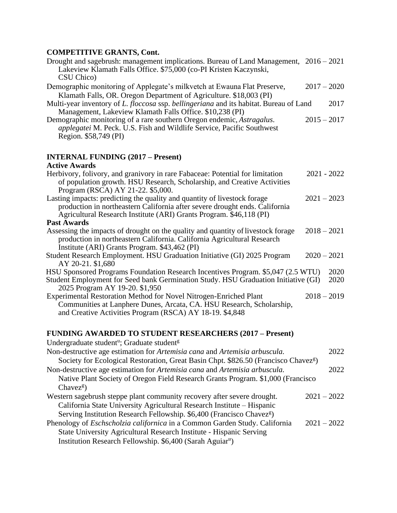# **COMPETER**

| <b>COMPETITIVE GRANTS, Cont.</b>                                                                                                                                                                                               |               |  |
|--------------------------------------------------------------------------------------------------------------------------------------------------------------------------------------------------------------------------------|---------------|--|
| Drought and sagebrush: management implications. Bureau of Land Management, 2016 – 2021<br>Lakeview Klamath Falls Office. \$75,000 (co-PI Kristen Kaczynski,<br>CSU Chico)                                                      |               |  |
| Demographic monitoring of Applegate's milkvetch at Ewauna Flat Preserve,                                                                                                                                                       | $2017 - 2020$ |  |
| Klamath Falls, OR. Oregon Department of Agriculture. \$18,003 (PI)<br>Multi-year inventory of L. floccosa ssp. bellingeriana and its habitat. Bureau of Land<br>Management, Lakeview Klamath Falls Office. \$10,238 (PI)       | 2017          |  |
| Demographic monitoring of a rare southern Oregon endemic, Astragalus.<br>applegatei M. Peck. U.S. Fish and Wildlife Service, Pacific Southwest<br>Region. \$58,749 (PI)                                                        | $2015 - 2017$ |  |
| <b>INTERNAL FUNDING (2017 – Present)</b><br><b>Active Awards</b>                                                                                                                                                               |               |  |
| Herbivory, folivory, and granivory in rare Fabaceae: Potential for limitation<br>of population growth. HSU Research, Scholarship, and Creative Activities<br>Program (RSCA) AY 21-22. \$5,000.                                 | $2021 - 2022$ |  |
| Lasting impacts: predicting the quality and quantity of livestock forage<br>production in northeastern California after severe drought ends. California<br>Agricultural Research Institute (ARI) Grants Program. \$46,118 (PI) | $2021 - 2023$ |  |
| <b>Past Awards</b>                                                                                                                                                                                                             |               |  |
| Assessing the impacts of drought on the quality and quantity of livestock forage<br>production in northeastern California. California Agricultural Research<br>Institute (ARI) Grants Program. \$43,462 (PI)                   | $2018 - 2021$ |  |
| Student Research Employment. HSU Graduation Initiative (GI) 2025 Program<br>AY 20-21. \$1,680                                                                                                                                  | $2020 - 2021$ |  |
| HSU Sponsored Programs Foundation Research Incentives Program. \$5,047 (2.5 WTU)<br>Student Employment for Seed bank Germination Study. HSU Graduation Initiative (GI)<br>2025 Program AY 19-20. \$1,950                       | 2020<br>2020  |  |
| Experimental Restoration Method for Novel Nitrogen-Enriched Plant<br>Communities at Lanphere Dunes, Arcata, CA. HSU Research, Scholarship,<br>and Creative Activities Program (RSCA) AY 18-19. \$4,848                         | $2018 - 2019$ |  |
| <b>FUNDING AWARDED TO STUDENT RESEARCHERS (2017 – Present)</b>                                                                                                                                                                 |               |  |
| Undergraduate student <sup>u</sup> ; Graduate student <sup>g</sup>                                                                                                                                                             |               |  |
| Non-destructive age estimation for Artemisia cana and Artemisia arbuscula.                                                                                                                                                     | 2022          |  |
| Society for Ecological Restoration, Great Basin Chpt. \$826.50 (Francisco Chavez <sup>g</sup> )                                                                                                                                |               |  |
| Non-destructive age estimation for Artemisia cana and Artemisia arbuscula.                                                                                                                                                     | 2022          |  |
| Native Plant Society of Oregon Field Research Grants Program. \$1,000 (Francisco                                                                                                                                               |               |  |

Chavez<sup>g</sup>) Western sagebrush steppe plant community recovery after severe drought. 2021 – 2022

California State University Agricultural Research Institute – Hispanic

Serving Institution Research Fellowship. \$6,400 (Francisco Chavez<sup>g</sup>)

| Phenology of <i>Eschscholzia californica</i> in a Common Garden Study. California | $2021 - 2022$ |
|-----------------------------------------------------------------------------------|---------------|
| State University Agricultural Research Institute - Hispanic Serving               |               |
| Institution Research Fellowship. \$6,400 (Sarah Aguiar <sup>u</sup> )             |               |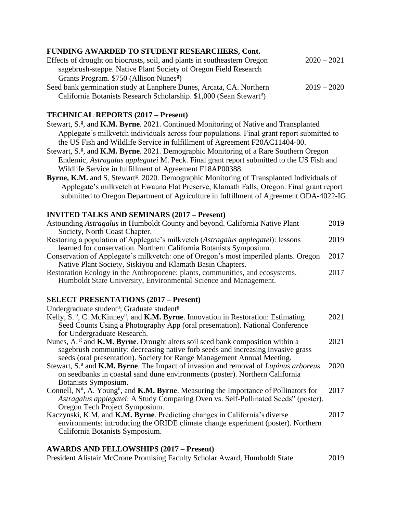# **FUNDING AWARDED TO STUDENT RESEARCHERS, Cont.**

| Effects of drought on biocrusts, soil, and plants in southeastern Oregon        | $2020 - 2021$ |
|---------------------------------------------------------------------------------|---------------|
| sagebrush-steppe. Native Plant Society of Oregon Field Research                 |               |
| Grants Program. \$750 (Allison Nunes <sup>g</sup> )                             |               |
| Seed bank germination study at Lanphere Dunes, Arcata, CA. Northern             | $2019 - 2020$ |
| California Botanists Research Scholarship. \$1,000 (Sean Stewart <sup>u</sup> ) |               |

# **TECHNICAL REPORTS (2017 – Present)**

Stewart, S.<sup>g</sup>, and **K.M. Byrne**. 2021. Continued Monitoring of Native and Transplanted Applegate's milkvetch individuals across four populations. Final grant report submitted to the US Fish and Wildlife Service in fulfillment of Agreement F20AC11404-00.

Stewart, S.<sup>g</sup>, and **K.M. Byrne**. 2021. Demographic Monitoring of a Rare Southern Oregon Endemic, *Astragalus applegatei* M. Peck. Final grant report submitted to the US Fish and Wildlife Service in fulfillment of Agreement F18AP00388.

Byrne, K.M. and S. Stewart<sup>g</sup>. 2020. Demographic Monitoring of Transplanted Individuals of Applegate's milkvetch at Ewauna Flat Preserve, Klamath Falls, Oregon. Final grant report submitted to Oregon Department of Agriculture in fulfillment of Agreement ODA-4022-IG.

## **INVITED TALKS AND SEMINARS (2017 – Present)**

| Astounding Astragalus in Humboldt County and beyond. California Native Plant<br>Society, North Coast Chapter.                                                                                                                                                   | 2019 |
|-----------------------------------------------------------------------------------------------------------------------------------------------------------------------------------------------------------------------------------------------------------------|------|
| Restoring a population of Applegate's milkvetch (Astragalus applegatei): lessons<br>learned for conservation. Northern California Botanists Symposium.                                                                                                          | 2019 |
| Conservation of Applegate's milkvetch: one of Oregon's most imperiled plants. Oregon<br>Native Plant Society, Siskiyou and Klamath Basin Chapters.                                                                                                              | 2017 |
| Restoration Ecology in the Anthropocene: plants, communities, and ecosystems.<br>Humboldt State University, Environmental Science and Management.                                                                                                               | 2017 |
| <b>SELECT PRESENTATIONS (2017 – Present)</b>                                                                                                                                                                                                                    |      |
| Undergraduate student <sup>u</sup> ; Graduate student <sup>g</sup>                                                                                                                                                                                              |      |
| Kelly, S. <sup>u</sup> , C. McKinney <sup>u</sup> , and <b>K.M. Byrne</b> . Innovation in Restoration: Estimating<br>Seed Counts Using a Photography App (oral presentation). National Conference<br>for Undergraduate Research.                                | 2021 |
| Nunes, A. <sup>g</sup> and <b>K.M. Byrne</b> . Drought alters soil seed bank composition within a<br>sagebrush community: decreasing native forb seeds and increasing invasive grass<br>seeds (oral presentation). Society for Range Management Annual Meeting. | 2021 |
| Stewart, S. <sup>u</sup> and <b>K.M. Byrne</b> . The Impact of invasion and removal of <i>Lupinus arboreus</i><br>on seedbanks in coastal sand dune environments (poster). Northern California<br>Botanists Symposium.                                          | 2020 |
| Connell, $N^{\mathrm{u}}$ , A. Young <sup>u</sup> , and <b>K.M. Byrne</b> . Measuring the Importance of Pollinators for<br>Astragalus applegatei: A Study Comparing Oven vs. Self-Pollinated Seeds" (poster).<br>Oregon Tech Project Symposium.                 | 2017 |
| Kaczynski, K.M. and K.M. Byrne. Predicting changes in California's diverse<br>environments: introducing the ORIDE climate change experiment (poster). Northern<br>California Botanists Symposium.                                                               | 2017 |

### **AWARDS AND FELLOWSHIPS (2017 – Present)**

President Alistair McCrone Promising Faculty Scholar Award, Humboldt State 2019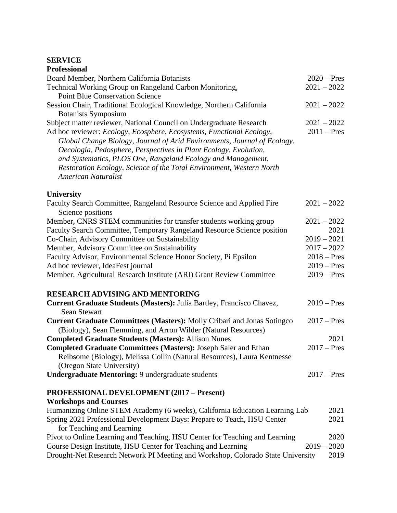#### **SERVICE**

| <b>Professional</b>                                                                        |               |
|--------------------------------------------------------------------------------------------|---------------|
| Board Member, Northern California Botanists                                                | $2020$ – Pres |
| Technical Working Group on Rangeland Carbon Monitoring,                                    | $2021 - 2022$ |
| <b>Point Blue Conservation Science</b>                                                     |               |
| Session Chair, Traditional Ecological Knowledge, Northern California                       | $2021 - 2022$ |
| <b>Botanists Symposium</b>                                                                 |               |
| Subject matter reviewer, National Council on Undergraduate Research                        | $2021 - 2022$ |
| Ad hoc reviewer: Ecology, Ecosphere, Ecosystems, Functional Ecology,                       | $2011$ – Pres |
| Global Change Biology, Journal of Arid Environments, Journal of Ecology,                   |               |
| Oecologia, Pedosphere, Perspectives in Plant Ecology, Evolution,                           |               |
| and Systematics, PLOS One, Rangeland Ecology and Management,                               |               |
| Restoration Ecology, Science of the Total Environment, Western North                       |               |
| American Naturalist                                                                        |               |
| <b>University</b>                                                                          |               |
| Faculty Search Committee, Rangeland Resource Science and Applied Fire<br>Science positions | $2021 - 2022$ |
| Member, CNRS STEM communities for transfer students working group                          | $2021 - 2022$ |
| Faculty Search Committee, Temporary Rangeland Resource Science position                    | 2021          |
| Co-Chair, Advisory Committee on Sustainability                                             | $2019 - 2021$ |
| Member, Advisory Committee on Sustainability                                               | $2017 - 2022$ |
| Faculty Advisor, Environmental Science Honor Society, Pi Epsilon                           | $2018 - Pres$ |
| Ad hoc reviewer, IdeaFest journal                                                          | $2019$ – Pres |
| Member, Agricultural Research Institute (ARI) Grant Review Committee                       | $2019$ – Pres |
| <b>DESEA DCH A DVISING AND MENTODING</b>                                                   |               |

### **RESEARCH ADVISING AND MENTORING Current Graduate Students (Masters):** Julia Bartley, Francisco Chavez, 2019 – Pres Sean Stewart **Current Graduate Committees (Masters):** Molly Cribari and Jonas Sotingco 2017 – Pres (Biology), Sean Flemming, and Arron Wilder (Natural Resources) **Completed Graduate Students (Masters):** Allison Nunes 2021 **Completed Graduate Committees (Masters):** Joseph Saler and Ethan 2017 – Pres Reibsome (Biology), Melissa Collin (Natural Resources), Laura Kentnesse (Oregon State University) **Undergraduate Mentoring:** 9 undergraduate students 2017 – Pres

# **PROFESSIONAL DEVELOPMENT (2017 – Present)**

## **Workshops and Courses** Humanizing Online STEM Academy (6 weeks), California Education Learning Lab 2021 Spring 2021 Professional Development Days: Prepare to Teach, HSU Center 2021 for Teaching and Learning Pivot to Online Learning and Teaching, HSU Center for Teaching and Learning 2020 Course Design Institute, HSU Center for Teaching and Learning 2019 – 2020 Drought-Net Research Network PI Meeting and Workshop, Colorado State University 2019